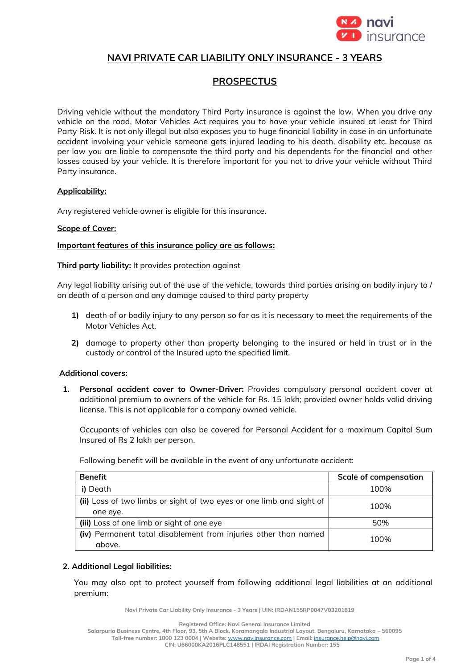

## **NAVI PRIVATE CAR LIABILITY ONLY INSURANCE - 3 YEARS**

# **PROSPECTUS**

Driving vehicle without the mandatory Third Party insurance is against the law. When you drive any vehicle on the road, Motor Vehicles Act requires you to have your vehicle insured at least for Third Party Risk. It is not only illegal but also exposes you to huge financial liability in case in an unfortunate accident involving your vehicle someone gets injured leading to his death, disability etc. because as per law you are liable to compensate the third party and his dependents for the financial and other losses caused by your vehicle. It is therefore important for you not to drive your vehicle without Third Party insurance.

### **Applicability:**

Any registered vehicle owner is eligible for this insurance.

### **Scope of Cover:**

### **Important features of this insurance policy are as follows:**

**Third party liability:** It provides protection against

Any legal liability arising out of the use of the vehicle, towards third parties arising on bodily injury to / on death of a person and any damage caused to third party property

- **1)** death of or bodily injury to any person so far as it is necessary to meet the requirements of the Motor Vehicles Act.
- **2)** damage to property other than property belonging to the insured or held in trust or in the custody or control of the Insured upto the specified limit.

### **Additional covers:**

**1. Personal accident cover to Owner-Driver:** Provides compulsory personal accident cover at additional premium to owners of the vehicle for Rs. 15 lakh; provided owner holds valid driving license. This is not applicable for a company owned vehicle.

Occupants of vehicles can also be covered for Personal Accident for a maximum Capital Sum Insured of Rs 2 lakh per person.

| <b>Benefit</b>                                                                   | <b>Scale of compensation</b> |
|----------------------------------------------------------------------------------|------------------------------|
| i) Death                                                                         | 100%                         |
| (ii) Loss of two limbs or sight of two eyes or one limb and sight of<br>one eye. | 100%                         |
| (iii) Loss of one limb or sight of one eye                                       | 50%                          |
| (iv) Permanent total disablement from injuries other than named<br>above.        | 100%                         |

Following benefit will be available in the event of any unfortunate accident:

### **2. Additional Legal liabilities:**

You may also opt to protect yourself from following additional legal liabilities at an additional premium:

**Navi Private Car Liability Only Insurance - 3 Years | UIN: IRDAN155RP0047V03201819**

**Registered Office: Navi General Insurance Limited**

**Salarpuria Business Centre, 4th Floor, 93, 5th A Block, Koramangala Industrial Layout, Bengaluru, Karnataka – 560095**

**Toll-free number: 1800 123 0004 | Website:** [www.naviinsurance.com](http://www.naviinsurance.com/) **| Email:** [insurance.help@navi.com](mailto:insurance.help@navi.com)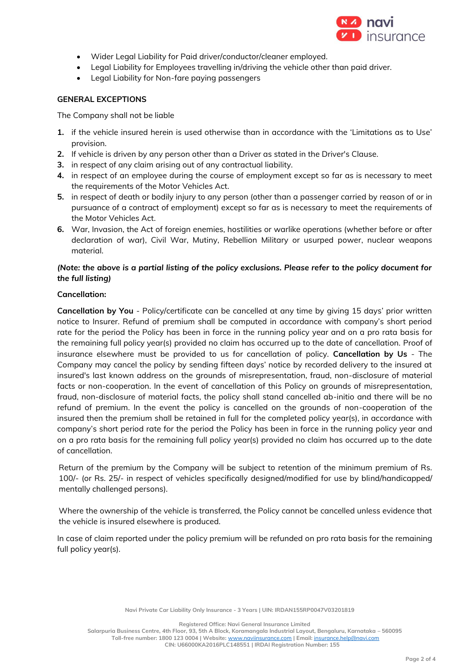

- Wider Legal Liability for Paid driver/conductor/cleaner employed.
- Legal Liability for Employees travelling in/driving the vehicle other than paid driver.
- Legal Liability for Non-fare paying passengers

### **GENERAL EXCEPTIONS**

The Company shall not be liable

- **1.** if the vehicle insured herein is used otherwise than in accordance with the 'Limitations as to Use' provision.
- **2.** If vehicle is driven by any person other than a Driver as stated in the Driver's Clause.
- **3.** in respect of any claim arising out of any contractual liability.
- **4.** in respect of an employee during the course of employment except so far as is necessary to meet the requirements of the Motor Vehicles Act.
- **5.** in respect of death or bodily injury to any person (other than a passenger carried by reason of or in pursuance of a contract of employment) except so far as is necessary to meet the requirements of the Motor Vehicles Act.
- **6.** War, Invasion, the Act of foreign enemies, hostilities or warlike operations (whether before or after declaration of war), Civil War, Mutiny, Rebellion Military or usurped power, nuclear weapons material.

### *(Note: the above is a partial listing of the policy exclusions. Please refer to the policy document for the full listing)*

### **Cancellation:**

**Cancellation by You** - Policy/certificate can be cancelled at any time by giving 15 days' prior written notice to Insurer. Refund of premium shall be computed in accordance with company's short period rate for the period the Policy has been in force in the running policy year and on a pro rata basis for the remaining full policy year(s) provided no claim has occurred up to the date of cancellation. Proof of insurance elsewhere must be provided to us for cancellation of policy. **Cancellation by Us** - The Company may cancel the policy by sending fifteen days' notice by recorded delivery to the insured at insured's last known address on the grounds of misrepresentation, fraud, non-disclosure of material facts or non-cooperation. In the event of cancellation of this Policy on grounds of misrepresentation, fraud, non-disclosure of material facts, the policy shall stand cancelled ab-initio and there will be no refund of premium. In the event the policy is cancelled on the grounds of non-cooperation of the insured then the premium shall be retained in full for the completed policy year(s), in accordance with company's short period rate for the period the Policy has been in force in the running policy year and on a pro rata basis for the remaining full policy year(s) provided no claim has occurred up to the date of cancellation.

Return of the premium by the Company will be subject to retention of the minimum premium of Rs. 100/- (or Rs. 25/- in respect of vehicles specifically designed/modified for use by blind/handicapped/ mentally challenged persons).

Where the ownership of the vehicle is transferred, the Policy cannot be cancelled unless evidence that the vehicle is insured elsewhere is produced.

In case of claim reported under the policy premium will be refunded on pro rata basis for the remaining full policy year(s).

**Registered Office: Navi General Insurance Limited**

**Salarpuria Business Centre, 4th Floor, 93, 5th A Block, Koramangala Industrial Layout, Bengaluru, Karnataka – 560095 Toll-free number: 1800 123 0004 | Website:** [www.naviinsurance.com](http://www.naviinsurance.com/) **| Email:** [insurance.help@navi.com](mailto:insurance.help@navi.com)

**CIN: U66000KA2016PLC148551 | IRDAI Registration Number: 155**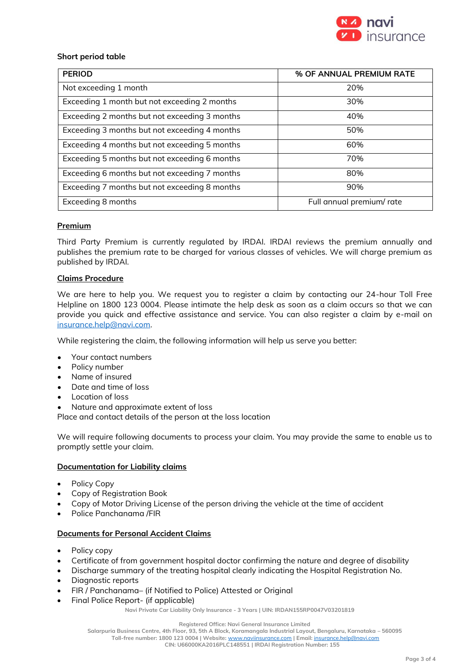

### **Short period table**

| <b>PERIOD</b>                                 | % OF ANNUAL PREMIUM RATE  |
|-----------------------------------------------|---------------------------|
| Not exceeding 1 month                         | 20%                       |
| Exceeding 1 month but not exceeding 2 months  | 30%                       |
| Exceeding 2 months but not exceeding 3 months | 40%                       |
| Exceeding 3 months but not exceeding 4 months | 50%                       |
| Exceeding 4 months but not exceeding 5 months | 60%                       |
| Exceeding 5 months but not exceeding 6 months | 70%                       |
| Exceeding 6 months but not exceeding 7 months | 80%                       |
| Exceeding 7 months but not exceeding 8 months | 90%                       |
| Exceeding 8 months                            | Full annual premium/ rate |

### **Premium**

Third Party Premium is currently regulated by IRDAI. IRDAI reviews the premium annually and publishes the premium rate to be charged for various classes of vehicles. We will charge premium as published by IRDAI.

### **Claims Procedure**

We are here to help you. We request you to register a claim by contacting our 24-hour Toll Free Helpline on 1800 123 0004. Please intimate the help desk as soon as a claim occurs so that we can provide you quick and effective assistance and service. You can also register a claim by e-mail on [insurance.help@navi.com.](mailto:insurance.help@navi.com)

While registering the claim, the following information will help us serve you better:

- Your contact numbers
- Policy number
- Name of insured
- Date and time of loss
- Location of loss
- Nature and approximate extent of loss

Place and contact details of the person at the loss location

We will require following documents to process your claim. You may provide the same to enable us to promptly settle your claim.

### **Documentation for Liability claims**

- Policy Copy
- Copy of Registration Book
- Copy of Motor Driving License of the person driving the vehicle at the time of accident
- Police Panchanama /FIR

### **Documents for Personal Accident Claims**

- Policy copy
- Certificate of from government hospital doctor confirming the nature and degree of disability
- Discharge summary of the treating hospital clearly indicating the Hospital Registration No.
- Diagnostic reports
- FIR / Panchanama– (if Notified to Police) Attested or Original
- Final Police Report- (if applicable)

**Navi Private Car Liability Only Insurance - 3 Years | UIN: IRDAN155RP0047V03201819**

**Registered Office: Navi General Insurance Limited**

**Salarpuria Business Centre, 4th Floor, 93, 5th A Block, Koramangala Industrial Layout, Bengaluru, Karnataka – 560095**

**Toll-free number: 1800 123 0004 | Website:** [www.naviinsurance.com](http://www.naviinsurance.com/) **| Email:** [insurance.help@navi.com](mailto:insurance.help@navi.com)